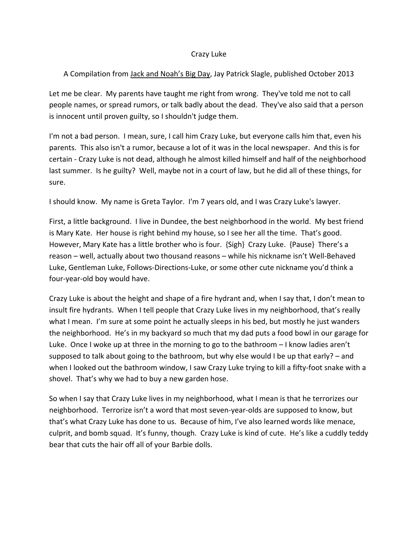## Crazy Luke

## A Compilation from Jack and Noah's Big Day, Jay Patrick Slagle, published October 2013

Let me be clear. My parents have taught me right from wrong. They've told me not to call people names, or spread rumors, or talk badly about the dead. They've also said that a person is innocent until proven guilty, so I shouldn't judge them.

I'm not a bad person. I mean, sure, I call him Crazy Luke, but everyone calls him that, even his parents. This also isn't a rumor, because a lot of it was in the local newspaper. And this is for certain ‐ Crazy Luke is not dead, although he almost killed himself and half of the neighborhood last summer. Is he guilty? Well, maybe not in a court of law, but he did all of these things, for sure.

I should know. My name is Greta Taylor. I'm 7 years old, and I was Crazy Luke's lawyer.

First, a little background. I live in Dundee, the best neighborhood in the world. My best friend is Mary Kate. Her house is right behind my house, so I see her all the time. That's good. However, Mary Kate has a little brother who is four. {Sigh} Crazy Luke. {Pause} There's a reason – well, actually about two thousand reasons – while his nickname isn't Well‐Behaved Luke, Gentleman Luke, Follows‐Directions‐Luke, or some other cute nickname you'd think a four‐year‐old boy would have.

Crazy Luke is about the height and shape of a fire hydrant and, when I say that, I don't mean to insult fire hydrants. When I tell people that Crazy Luke lives in my neighborhood, that's really what I mean. I'm sure at some point he actually sleeps in his bed, but mostly he just wanders the neighborhood. He's in my backyard so much that my dad puts a food bowl in our garage for Luke. Once I woke up at three in the morning to go to the bathroom – I know ladies aren't supposed to talk about going to the bathroom, but why else would I be up that early? – and when I looked out the bathroom window, I saw Crazy Luke trying to kill a fifty-foot snake with a shovel. That's why we had to buy a new garden hose.

So when I say that Crazy Luke lives in my neighborhood, what I mean is that he terrorizes our neighborhood. Terrorize isn't a word that most seven‐year‐olds are supposed to know, but that's what Crazy Luke has done to us. Because of him, I've also learned words like menace, culprit, and bomb squad. It's funny, though. Crazy Luke is kind of cute. He's like a cuddly teddy bear that cuts the hair off all of your Barbie dolls.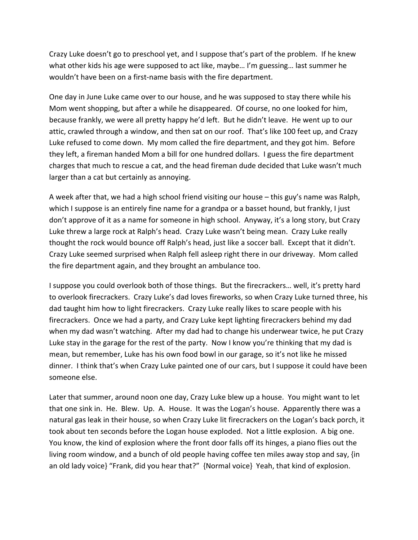Crazy Luke doesn't go to preschool yet, and I suppose that's part of the problem. If he knew what other kids his age were supposed to act like, maybe… I'm guessing… last summer he wouldn't have been on a first‐name basis with the fire department.

One day in June Luke came over to our house, and he was supposed to stay there while his Mom went shopping, but after a while he disappeared. Of course, no one looked for him, because frankly, we were all pretty happy he'd left. But he didn't leave. He went up to our attic, crawled through a window, and then sat on our roof. That's like 100 feet up, and Crazy Luke refused to come down. My mom called the fire department, and they got him. Before they left, a fireman handed Mom a bill for one hundred dollars. I guess the fire department charges that much to rescue a cat, and the head fireman dude decided that Luke wasn't much larger than a cat but certainly as annoying.

A week after that, we had a high school friend visiting our house – this guy's name was Ralph, which I suppose is an entirely fine name for a grandpa or a basset hound, but frankly, I just don't approve of it as a name for someone in high school. Anyway, it's a long story, but Crazy Luke threw a large rock at Ralph's head. Crazy Luke wasn't being mean. Crazy Luke really thought the rock would bounce off Ralph's head, just like a soccer ball. Except that it didn't. Crazy Luke seemed surprised when Ralph fell asleep right there in our driveway. Mom called the fire department again, and they brought an ambulance too.

I suppose you could overlook both of those things. But the firecrackers… well, it's pretty hard to overlook firecrackers. Crazy Luke's dad loves fireworks, so when Crazy Luke turned three, his dad taught him how to light firecrackers. Crazy Luke really likes to scare people with his firecrackers. Once we had a party, and Crazy Luke kept lighting firecrackers behind my dad when my dad wasn't watching. After my dad had to change his underwear twice, he put Crazy Luke stay in the garage for the rest of the party. Now I know you're thinking that my dad is mean, but remember, Luke has his own food bowl in our garage, so it's not like he missed dinner. I think that's when Crazy Luke painted one of our cars, but I suppose it could have been someone else.

Later that summer, around noon one day, Crazy Luke blew up a house. You might want to let that one sink in. He. Blew. Up. A. House. It was the Logan's house. Apparently there was a natural gas leak in their house, so when Crazy Luke lit firecrackers on the Logan's back porch, it took about ten seconds before the Logan house exploded. Not a little explosion. A big one. You know, the kind of explosion where the front door falls off its hinges, a piano flies out the living room window, and a bunch of old people having coffee ten miles away stop and say, {in an old lady voice} "Frank, did you hear that?" {Normal voice} Yeah, that kind of explosion.